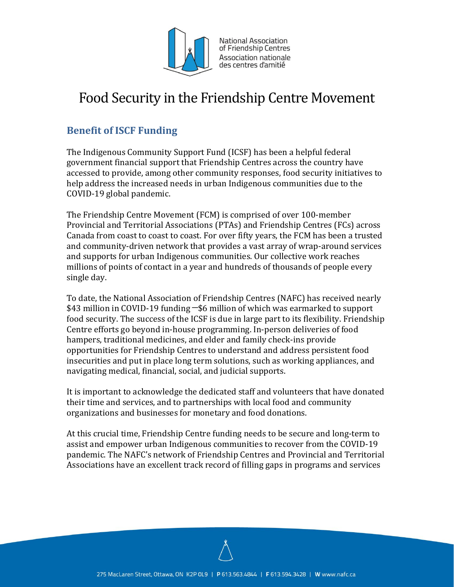

National Association of Friendship Centres Association nationale des centres d'amitié

# Food Security in the Friendship Centre Movement

## **Benefit of ISCF Funding**

The Indigenous Community Support Fund (ICSF) has been a helpful federal government financial support that Friendship Centres across the country have accessed to provide, among other community responses, food security initiatives to help address the increased needs in urban Indigenous communities due to the COVID-19 global pandemic.

The Friendship Centre Movement (FCM) is comprised of over 100-member Provincial and Territorial Associations (PTAs) and Friendship Centres (FCs) across Canada from coast to coast to coast. For over fifty years, the FCM has been a trusted and community-driven network that provides a vast array of wrap-around services and supports for urban Indigenous communities. Our collective work reaches millions of points of contact in a year and hundreds of thousands of people every single day.

To date, the National Association of Friendship Centres (NAFC) has received nearly \$43 million in COVID-19 funding ─\$6 million of which was earmarked to support food security. The success of the ICSF is due in large part to its flexibility. Friendship Centre efforts go beyond in-house programming. In-person deliveries of food hampers, traditional medicines, and elder and family check-ins provide opportunities for Friendship Centres to understand and address persistent food insecurities and put in place long term solutions, such as working appliances, and navigating medical, financial, social, and judicial supports.

It is important to acknowledge the dedicated staff and volunteers that have donated their time and services, and to partnerships with local food and community organizations and businesses for monetary and food donations.

At this crucial time, Friendship Centre funding needs to be secure and long-term to assist and empower urban Indigenous communities to recover from the COVID-19 pandemic. The NAFC's network of Friendship Centres and Provincial and Territorial Associations have an excellent track record of filling gaps in programs and services

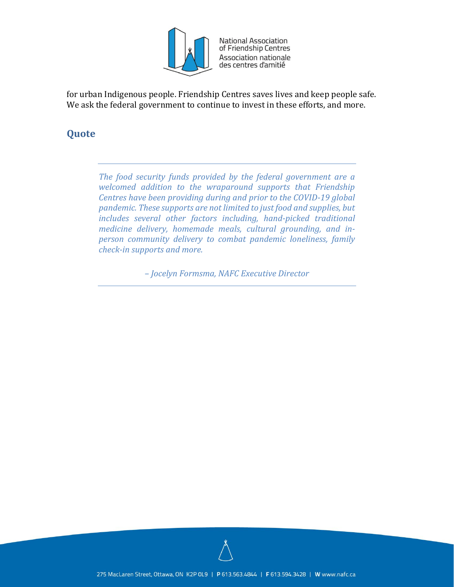

National Association of Friendship Centres Association nationale des centres d'amitié

for urban Indigenous people. Friendship Centres saves lives and keep people safe. We ask the federal government to continue to invest in these efforts, and more.

### **Quote**

*The food security funds provided by the federal government are a welcomed addition to the wraparound supports that Friendship Centres have been providing during and prior to the COVID-19 global pandemic. These supports are not limited to just food and supplies, but includes several other factors including, hand-picked traditional medicine delivery, homemade meals, cultural grounding, and inperson community delivery to combat pandemic loneliness, family check-in supports and more.*

*– Jocelyn Formsma, NAFC Executive Director*

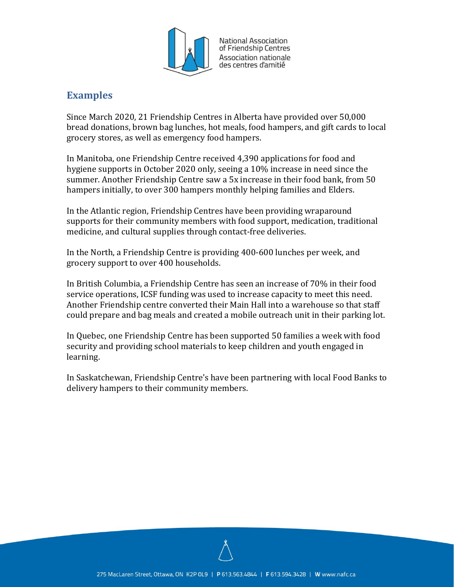

National Association of Friendship Centres Association nationale des centres d'amitié

#### **Examples**

Since March 2020, 21 Friendship Centres in Alberta have provided over 50,000 bread donations, brown bag lunches, hot meals, food hampers, and gift cards to local grocery stores, as well as emergency food hampers.

In Manitoba, one Friendship Centre received 4,390 applications for food and hygiene supports in October 2020 only, seeing a 10% increase in need since the summer. Another Friendship Centre saw a 5x increase in their food bank, from 50 hampers initially, to over 300 hampers monthly helping families and Elders.

In the Atlantic region, Friendship Centres have been providing wraparound supports for their community members with food support, medication, traditional medicine, and cultural supplies through contact-free deliveries.

In the North, a Friendship Centre is providing 400-600 lunches per week, and grocery support to over 400 households.

In British Columbia, a Friendship Centre has seen an increase of 70% in their food service operations, ICSF funding was used to increase capacity to meet this need. Another Friendship centre converted their Main Hall into a warehouse so that staff could prepare and bag meals and created a mobile outreach unit in their parking lot.

In Quebec, one Friendship Centre has been supported 50 families a week with food security and providing school materials to keep children and youth engaged in learning.

In Saskatchewan, Friendship Centre's have been partnering with local Food Banks to delivery hampers to their community members.

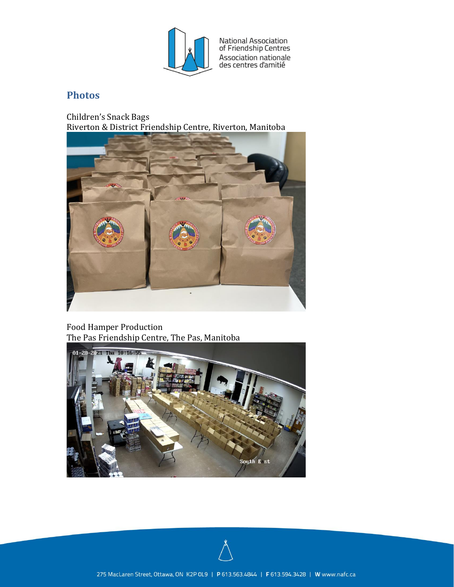

National Association<br>of Friendship Centres Association nationale<br>des centres d'amitié

#### **Photos**

Children's Snack Bags Riverton & District Friendship Centre, Riverton, Manitoba



Food Hamper Production The Pas Friendship Centre, The Pas, Manitoba